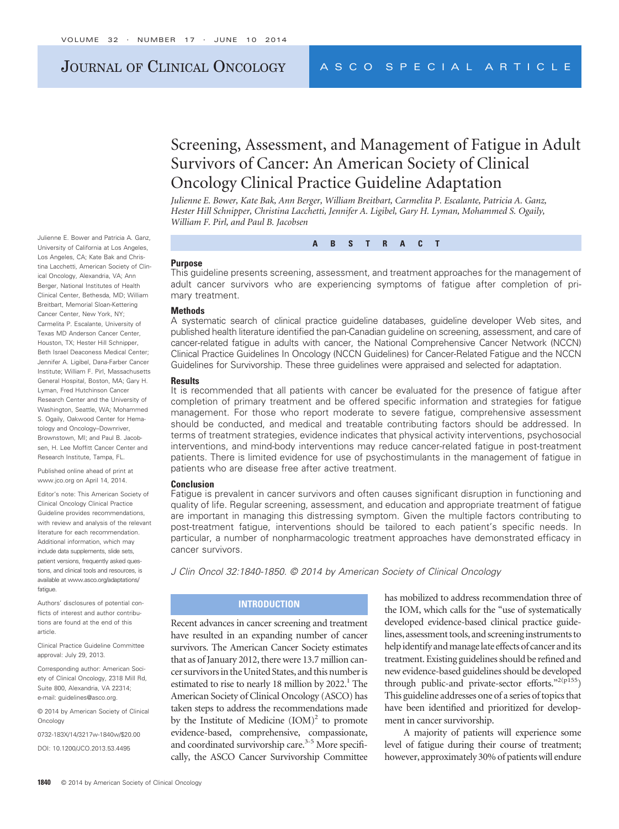# JOURNAL OF CLINICAL ONCOLOGY ASCO SPECIAL ARTICLE

# Screening, Assessment, and Management of Fatigue in Adult Survivors of Cancer: An American Society of Clinical Oncology Clinical Practice Guideline Adaptation

*Julienne E. Bower, Kate Bak, Ann Berger, William Breitbart, Carmelita P. Escalante, Patricia A. Ganz, Hester Hill Schnipper, Christina Lacchetti, Jennifer A. Ligibel, Gary H. Lyman, Mohammed S. Ogaily, William F. Pirl, and Paul B. Jacobsen*

**ABSTRACT**

#### **Purpose**

This guideline presents screening, assessment, and treatment approaches for the management of adult cancer survivors who are experiencing symptoms of fatigue after completion of primary treatment.

#### **Methods**

A systematic search of clinical practice guideline databases, guideline developer Web sites, and published health literature identified the pan-Canadian guideline on screening, assessment, and care of cancer-related fatigue in adults with cancer, the National Comprehensive Cancer Network (NCCN) Clinical Practice Guidelines In Oncology (NCCN Guidelines) for Cancer-Related Fatigue and the NCCN Guidelines for Survivorship. These three guidelines were appraised and selected for adaptation.

#### **Results**

It is recommended that all patients with cancer be evaluated for the presence of fatigue after completion of primary treatment and be offered specific information and strategies for fatigue management. For those who report moderate to severe fatigue, comprehensive assessment should be conducted, and medical and treatable contributing factors should be addressed. In terms of treatment strategies, evidence indicates that physical activity interventions, psychosocial interventions, and mind-body interventions may reduce cancer-related fatigue in post-treatment patients. There is limited evidence for use of psychostimulants in the management of fatigue in patients who are disease free after active treatment.

#### **Conclusion**

Fatigue is prevalent in cancer survivors and often causes significant disruption in functioning and quality of life. Regular screening, assessment, and education and appropriate treatment of fatigue are important in managing this distressing symptom. Given the multiple factors contributing to post-treatment fatigue, interventions should be tailored to each patient's specific needs. In particular, a number of nonpharmacologic treatment approaches have demonstrated efficacy in cancer survivors.

*J Clin Oncol 32:1840-1850. © 2014 by American Society of Clinical Oncology*

### **INTRODUCTION**

Recent advances in cancer screening and treatment have resulted in an expanding number of cancer survivors. The American Cancer Society estimates that as of January 2012, there were 13.7 million cancer survivors in the United States, and this number is estimated to rise to nearly 18 million by  $2022<sup>1</sup>$ . The American Society of Clinical Oncology (ASCO) has taken steps to address the recommendations made by the Institute of Medicine  $(IOM)^2$  to promote evidence-based, comprehensive, compassionate, and coordinated survivorship care. $3-5$  More specifically, the ASCO Cancer Survivorship Committee

has mobilized to address recommendation three of the IOM, which calls for the "use of systematically developed evidence-based clinical practice guidelines, assessment tools, and screeninginstruments to help identify and manage late effects of cancer and its treatment. Existing guidelines should be refined and new evidence-based guidelines should be developed through public-and private-sector efforts."2(p155) This guideline addresses one of a series of topics that have been identified and prioritized for development in cancer survivorship.

A majority of patients will experience some level of fatigue during their course of treatment; however, approximately 30% of patients will endure

Julienne E. Bower and Patricia A. Ganz, University of California at Los Angeles, Los Angeles, CA; Kate Bak and Christina Lacchetti, American Society of Clinical Oncology, Alexandria, VA; Ann Berger, National Institutes of Health Clinical Center, Bethesda, MD; William Breitbart, Memorial Sloan-Kettering Cancer Center, New York, NY; Carmelita P. Escalante, University of Texas MD Anderson Cancer Center, Houston, TX; Hester Hill Schnipper, Beth Israel Deaconess Medical Center; Jennifer A. Ligibel, Dana-Farber Cancer Institute; William F. Pirl, Massachusetts General Hospital, Boston, MA; Gary H. Lyman, Fred Hutchinson Cancer Research Center and the University of Washington, Seattle, WA; Mohammed S. Ogaily, Oakwood Center for Hematology and Oncology–Downriver, Brownstown, MI; and Paul B. Jacobsen, H. Lee Moffitt Cancer Center and Research Institute, Tampa, FL.

Published online ahead of print at www.jco.org on April 14, 2014.

Editor's note: This American Society of Clinical Oncology Clinical Practice Guideline provides recommendations, with review and analysis of the relevant literature for each recommendation. Additional information, which may include data supplements, slide sets, patient versions, frequently asked questions, and clinical tools and resources, is available at [www.asco.org/adaptations/](http://www.asco.org/adaptations/fatigue) fatigue

Authors' disclosures of potential conflicts of interest and author contributions are found at the end of this article.

Clinical Practice Guideline Committee approval: July 29, 2013.

Corresponding author: American Society of Clinical Oncology, 2318 Mill Rd, Suite 800, Alexandria, VA 22314; e-mail: guidelines@asco.org.

© 2014 by American Society of Clinical Oncology

0732-183X/14/3217w-1840w/\$20.00

DOI: 10.1200/JCO.2013.53.4495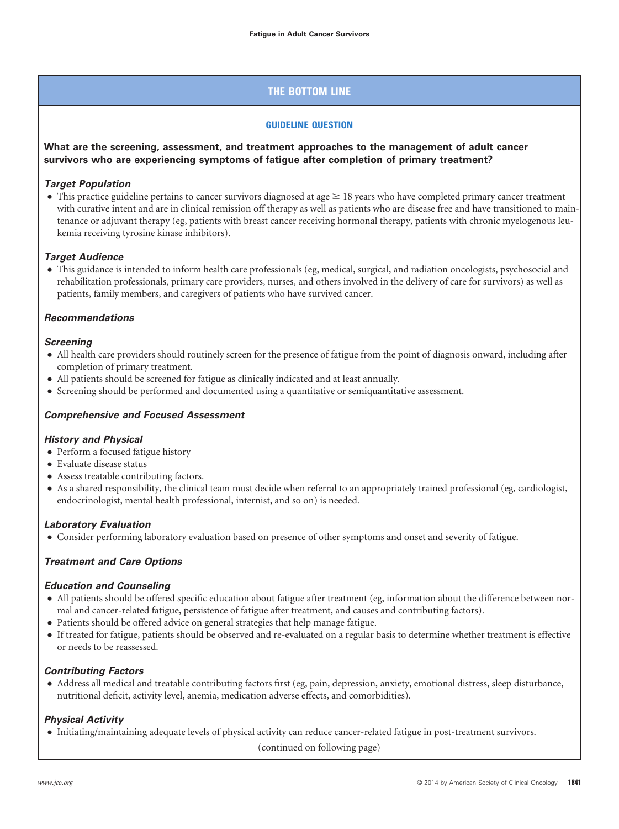# **THE BOTTOM LINE**

# **GUIDELINE QUESTION**

**What are the screening, assessment, and treatment approaches to the management of adult cancer survivors who are experiencing symptoms of fatigue after completion of primary treatment?**

# *Target Population*

● This practice guideline pertains to cancer survivors diagnosed at age ≥ 18 years who have completed primary cancer treatment with curative intent and are in clinical remission off therapy as well as patients who are disease free and have transitioned to maintenance or adjuvant therapy (eg, patients with breast cancer receiving hormonal therapy, patients with chronic myelogenous leukemia receiving tyrosine kinase inhibitors).

# *Target Audience*

● This guidance is intended to inform health care professionals (eg, medical, surgical, and radiation oncologists, psychosocial and rehabilitation professionals, primary care providers, nurses, and others involved in the delivery of care for survivors) as well as patients, family members, and caregivers of patients who have survived cancer.

# *Recommendations*

# *Screening*

- All health care providers should routinely screen for the presence of fatigue from the point of diagnosis onward, including after completion of primary treatment.
- All patients should be screened for fatigue as clinically indicated and at least annually.
- Screening should be performed and documented using a quantitative or semiquantitative assessment.

# *Comprehensive and Focused Assessment*

## *History and Physical*

- Perform a focused fatigue history
- Evaluate disease status
- Assess treatable contributing factors.
- As a shared responsibility, the clinical team must decide when referral to an appropriately trained professional (eg, cardiologist, endocrinologist, mental health professional, internist, and so on) is needed.

# *Laboratory Evaluation*

● Consider performing laboratory evaluation based on presence of other symptoms and onset and severity of fatigue.

# *Treatment and Care Options*

## *Education and Counseling*

- All patients should be offered specific education about fatigue after treatment (eg, information about the difference between normal and cancer-related fatigue, persistence of fatigue after treatment, and causes and contributing factors).
- Patients should be offered advice on general strategies that help manage fatigue.
- If treated for fatigue, patients should be observed and re-evaluated on a regular basis to determine whether treatment is effective or needs to be reassessed.

# *Contributing Factors*

● Address all medical and treatable contributing factors first (eg, pain, depression, anxiety, emotional distress, sleep disturbance, nutritional deficit, activity level, anemia, medication adverse effects, and comorbidities).

# *Physical Activity*

● Initiating/maintaining adequate levels of physical activity can reduce cancer-related fatigue in post-treatment survivors.

(continued on following page)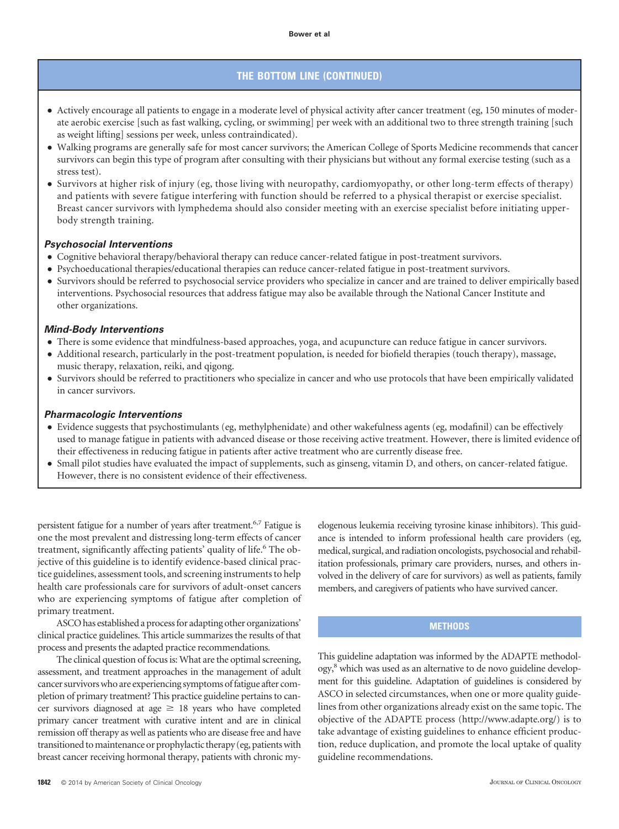# **THE BOTTOM LINE (CONTINUED)**

- Actively encourage all patients to engage in a moderate level of physical activity after cancer treatment (eg, 150 minutes of moderate aerobic exercise [such as fast walking, cycling, or swimming] per week with an additional two to three strength training [such as weight lifting] sessions per week, unless contraindicated).
- Walking programs are generally safe for most cancer survivors; the American College of Sports Medicine recommends that cancer survivors can begin this type of program after consulting with their physicians but without any formal exercise testing (such as a stress test).
- Survivors at higher risk of injury (eg, those living with neuropathy, cardiomyopathy, or other long-term effects of therapy) and patients with severe fatigue interfering with function should be referred to a physical therapist or exercise specialist. Breast cancer survivors with lymphedema should also consider meeting with an exercise specialist before initiating upperbody strength training.

# *Psychosocial Interventions*

- Cognitive behavioral therapy/behavioral therapy can reduce cancer-related fatigue in post-treatment survivors.
- Psychoeducational therapies/educational therapies can reduce cancer-related fatigue in post-treatment survivors.
- Survivors should be referred to psychosocial service providers who specialize in cancer and are trained to deliver empirically based interventions. Psychosocial resources that address fatigue may also be available through the National Cancer Institute and other organizations.

### *Mind-Body Interventions*

- There is some evidence that mindfulness-based approaches, yoga, and acupuncture can reduce fatigue in cancer survivors.
- Additional research, particularly in the post-treatment population, is needed for biofield therapies (touch therapy), massage, music therapy, relaxation, reiki, and qigong.
- Survivors should be referred to practitioners who specialize in cancer and who use protocols that have been empirically validated in cancer survivors.

### *Pharmacologic Interventions*

- Evidence suggests that psychostimulants (eg, methylphenidate) and other wakefulness agents (eg, modafinil) can be effectively used to manage fatigue in patients with advanced disease or those receiving active treatment. However, there is limited evidence of their effectiveness in reducing fatigue in patients after active treatment who are currently disease free.
- Small pilot studies have evaluated the impact of supplements, such as ginseng, vitamin D, and others, on cancer-related fatigue. However, there is no consistent evidence of their effectiveness.

persistent fatigue for a number of years after treatment.<sup>6,7</sup> Fatigue is one the most prevalent and distressing long-term effects of cancer treatment, significantly affecting patients' quality of life.<sup>6</sup> The objective of this guideline is to identify evidence-based clinical practice guidelines, assessment tools, and screening instruments to help health care professionals care for survivors of adult-onset cancers who are experiencing symptoms of fatigue after completion of primary treatment.

ASCO has established a process for adapting other organizations' clinical practice guidelines. This article summarizes the results of that process and presents the adapted practice recommendations.

The clinical question of focus is: What are the optimal screening, assessment, and treatment approaches in the management of adult cancer survivors who are experiencing symptoms of fatigue after completion of primary treatment? This practice guideline pertains to cancer survivors diagnosed at age  $\geq$  18 years who have completed primary cancer treatment with curative intent and are in clinical remission off therapy as well as patients who are disease free and have transitioned to maintenance or prophylactic therapy (eg, patients with breast cancer receiving hormonal therapy, patients with chronic myelogenous leukemia receiving tyrosine kinase inhibitors). This guidance is intended to inform professional health care providers (eg, medical, surgical, and radiation oncologists, psychosocial and rehabilitation professionals, primary care providers, nurses, and others involved in the delivery of care for survivors) as well as patients, family members, and caregivers of patients who have survived cancer.

# **METHODS**

This guideline adaptation was informed by the ADAPTE methodology,<sup>8</sup> which was used as an alternative to de novo guideline development for this guideline. Adaptation of guidelines is considered by ASCO in selected circumstances, when one or more quality guidelines from other organizations already exist on the same topic. The objective of the ADAPTE process [\(http://www.adapte.org/\)](http://www.adapte.org/) is to take advantage of existing guidelines to enhance efficient production, reduce duplication, and promote the local uptake of quality guideline recommendations.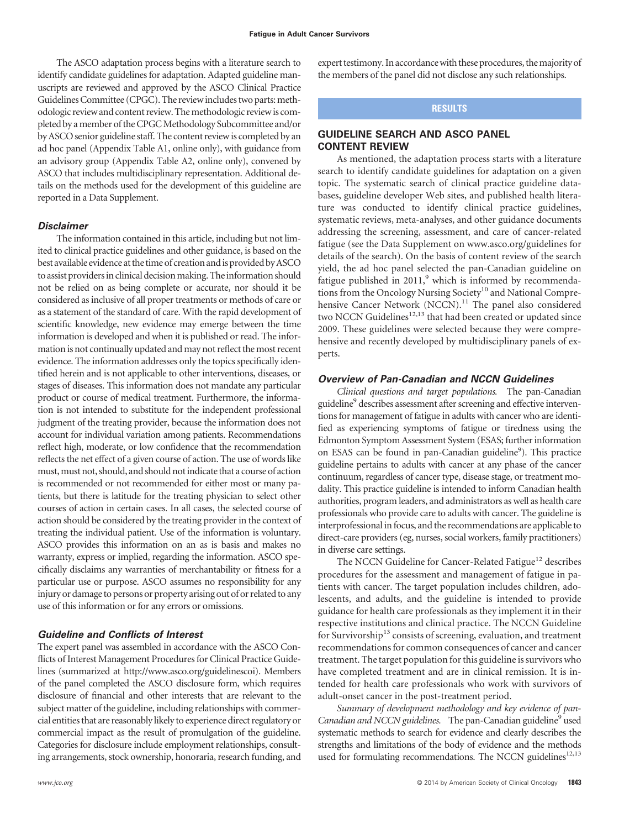The ASCO adaptation process begins with a literature search to identify candidate guidelines for adaptation. Adapted guideline manuscripts are reviewed and approved by the ASCO Clinical Practice Guidelines Committee (CPGC). The review includes two parts: methodologic review and content review. The methodologic review is completed by a member of the CPGCMethodology Subcommittee and/or by ASCO senior guideline staff. The content review is completed by an ad hoc panel (Appendix Table A1, online only), with guidance from an advisory group (Appendix Table A2, online only), convened by ASCO that includes multidisciplinary representation. Additional details on the methods used for the development of this guideline are reported in a Data Supplement.

### *Disclaimer*

The information contained in this article, including but not limited to clinical practice guidelines and other guidance, is based on the best available evidence at the time of creation andis provided byASCO to assist providers in clinical decision making. The information should not be relied on as being complete or accurate, nor should it be considered as inclusive of all proper treatments or methods of care or as a statement of the standard of care. With the rapid development of scientific knowledge, new evidence may emerge between the time information is developed and when it is published or read. The information is not continually updated and may not reflect the most recent evidence. The information addresses only the topics specifically identified herein and is not applicable to other interventions, diseases, or stages of diseases. This information does not mandate any particular product or course of medical treatment. Furthermore, the information is not intended to substitute for the independent professional judgment of the treating provider, because the information does not account for individual variation among patients. Recommendations reflect high, moderate, or low confidence that the recommendation reflects the net effect of a given course of action. The use of words like must, must not, should, and should not indicate that a course of action is recommended or not recommended for either most or many patients, but there is latitude for the treating physician to select other courses of action in certain cases. In all cases, the selected course of action should be considered by the treating provider in the context of treating the individual patient. Use of the information is voluntary. ASCO provides this information on an as is basis and makes no warranty, express or implied, regarding the information. ASCO specifically disclaims any warranties of merchantability or fitness for a particular use or purpose. ASCO assumes no responsibility for any injury or damage to persons or property arising out of or related to any use of this information or for any errors or omissions.

# *Guideline and Conflicts of Interest*

The expert panel was assembled in accordance with the ASCO Conflicts of Interest Management Procedures for Clinical Practice Guidelines (summarized at [http://www.asco.org/guidelinescoi\)](http://www.asco.org/guidelinescoi). Members of the panel completed the ASCO disclosure form, which requires disclosure of financial and other interests that are relevant to the subject matter of the guideline, including relationships with commercial entities that are reasonably likely to experience direct regulatory or commercial impact as the result of promulgation of the guideline. Categories for disclosure include employment relationships, consulting arrangements, stock ownership, honoraria, research funding, and expert testimony. In accordance with these procedures, the majority of the members of the panel did not disclose any such relationships.

# **RESULTS**

# **GUIDELINE SEARCH AND ASCO PANEL CONTENT REVIEW**

As mentioned, the adaptation process starts with a literature search to identify candidate guidelines for adaptation on a given topic. The systematic search of clinical practice guideline databases, guideline developer Web sites, and published health literature was conducted to identify clinical practice guidelines, systematic reviews, meta-analyses, and other guidance documents addressing the screening, assessment, and care of cancer-related fatigue (see the Data Supplement on [www.asco.org/guidelines](http://www.asco.org/guidelines) for details of the search). On the basis of content review of the search yield, the ad hoc panel selected the pan-Canadian guideline on fatigue published in  $2011$ , which is informed by recommendations from the Oncology Nursing Society<sup>10</sup> and National Comprehensive Cancer Network (NCCN).<sup>11</sup> The panel also considered two NCCN Guidelines<sup>12,13</sup> that had been created or updated since 2009. These guidelines were selected because they were comprehensive and recently developed by multidisciplinary panels of experts.

## *Overview of Pan-Canadian and NCCN Guidelines*

*Clinical questions and target populations.* The pan-Canadian guideline<sup>9</sup> describes assessment after screening and effective interventions for management of fatigue in adults with cancer who are identified as experiencing symptoms of fatigue or tiredness using the Edmonton Symptom Assessment System (ESAS; further information on ESAS can be found in pan-Canadian guideline<sup>9</sup>). This practice guideline pertains to adults with cancer at any phase of the cancer continuum, regardless of cancer type, disease stage, or treatment modality. This practice guideline is intended to inform Canadian health authorities, program leaders, and administrators as well as health care professionals who provide care to adults with cancer. The guideline is interprofessional infocus, and the recommendations are applicable to direct-care providers (eg, nurses, social workers, family practitioners) in diverse care settings.

The NCCN Guideline for Cancer-Related Fatigue<sup>12</sup> describes procedures for the assessment and management of fatigue in patients with cancer. The target population includes children, adolescents, and adults, and the guideline is intended to provide guidance for health care professionals as they implement it in their respective institutions and clinical practice. The NCCN Guideline for Survivorship<sup>13</sup> consists of screening, evaluation, and treatment recommendations for common consequences of cancer and cancer treatment. The target population for this guideline is survivors who have completed treatment and are in clinical remission. It is intended for health care professionals who work with survivors of adult-onset cancer in the post-treatment period.

*Summary of development methodology and key evidence of pan-Canadian and NCCN guidelines.* The pan-Canadian guideline<sup>9</sup> used systematic methods to search for evidence and clearly describes the strengths and limitations of the body of evidence and the methods used for formulating recommendations. The NCCN guidelines<sup>12,13</sup>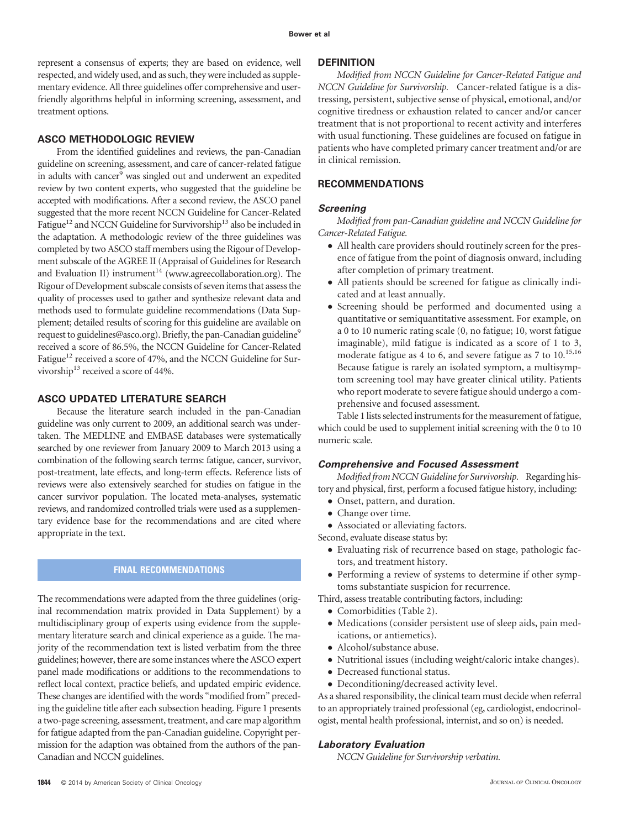#### **Bower et al**

represent a consensus of experts; they are based on evidence, well respected, and widely used, and as such, they were included as supplementary evidence. All three guidelines offer comprehensive and userfriendly algorithms helpful in informing screening, assessment, and treatment options.

# **ASCO METHODOLOGIC REVIEW**

From the identified guidelines and reviews, the pan-Canadian guideline on screening, assessment, and care of cancer-related fatigue in adults with cancer<sup>9</sup> was singled out and underwent an expedited review by two content experts, who suggested that the guideline be accepted with modifications. After a second review, the ASCO panel suggested that the more recent NCCN Guideline for Cancer-Related Fatigue<sup>12</sup> and NCCN Guideline for Survivorship<sup>13</sup> also be included in the adaptation. A methodologic review of the three guidelines was completed by two ASCO staff members using the Rigour of Development subscale of the AGREE II (Appraisal of Guidelines for Research and Evaluation II) instrument<sup>14</sup> [\(www.agreecollaboration.org\)](http://www.agreecollaboration.org). The Rigour of Development subscale consists of seven items that assess the quality of processes used to gather and synthesize relevant data and methods used to formulate guideline recommendations (Data Supplement; detailed results of scoring for this guideline are available on request to guidelines@asco.org). Briefly, the pan-Canadian guideline<sup>9</sup> received a score of 86.5%, the NCCN Guideline for Cancer-Related Fatigue<sup>12</sup> received a score of 47%, and the NCCN Guideline for Survivorship<sup>13</sup> received a score of 44%.

# **ASCO UPDATED LITERATURE SEARCH**

Because the literature search included in the pan-Canadian guideline was only current to 2009, an additional search was undertaken. The MEDLINE and EMBASE databases were systematically searched by one reviewer from January 2009 to March 2013 using a combination of the following search terms: fatigue, cancer, survivor, post-treatment, late effects, and long-term effects. Reference lists of reviews were also extensively searched for studies on fatigue in the cancer survivor population. The located meta-analyses, systematic reviews, and randomized controlled trials were used as a supplementary evidence base for the recommendations and are cited where appropriate in the text.

# **FINAL RECOMMENDATIONS**

The recommendations were adapted from the three guidelines (original recommendation matrix provided in Data Supplement) by a multidisciplinary group of experts using evidence from the supplementary literature search and clinical experience as a guide. The majority of the recommendation text is listed verbatim from the three guidelines; however, there are some instances where the ASCO expert panel made modifications or additions to the recommendations to reflect local context, practice beliefs, and updated empiric evidence. These changes are identified with the words "modified from" preceding the guideline title after each subsection heading. Figure 1 presents a two-page screening, assessment, treatment, and care map algorithm for fatigue adapted from the pan-Canadian guideline. Copyright permission for the adaption was obtained from the authors of the pan-Canadian and NCCN guidelines.

#### **DEFINITION**

*Modified from NCCN Guideline for Cancer-Related Fatigue and NCCN Guideline for Survivorship.* Cancer-related fatigue is a distressing, persistent, subjective sense of physical, emotional, and/or cognitive tiredness or exhaustion related to cancer and/or cancer treatment that is not proportional to recent activity and interferes with usual functioning. These guidelines are focused on fatigue in patients who have completed primary cancer treatment and/or are in clinical remission.

### **RECOMMENDATIONS**

# *Screening*

*Modified from pan-Canadian guideline and NCCN Guideline for Cancer-Related Fatigue.*

- All health care providers should routinely screen for the presence of fatigue from the point of diagnosis onward, including after completion of primary treatment.
- All patients should be screened for fatigue as clinically indicated and at least annually.
- Screening should be performed and documented using a quantitative or semiquantitative assessment. For example, on a 0 to 10 numeric rating scale (0, no fatigue; 10, worst fatigue imaginable), mild fatigue is indicated as a score of 1 to 3, moderate fatigue as 4 to 6, and severe fatigue as 7 to  $10^{15,16}$ Because fatigue is rarely an isolated symptom, a multisymptom screening tool may have greater clinical utility. Patients who report moderate to severe fatigue should undergo a comprehensive and focused assessment.

Table 1 lists selected instruments for the measurement of fatigue, which could be used to supplement initial screening with the 0 to 10 numeric scale.

### *Comprehensive and Focused Assessment*

*Modified from NCCN Guideline for Survivorship.* Regarding history and physical, first, perform a focused fatigue history, including:

- Onset, pattern, and duration.
- Change over time.
- Associated or alleviating factors.

Second, evaluate disease status by:

- Evaluating risk of recurrence based on stage, pathologic factors, and treatment history.
- Performing a review of systems to determine if other symptoms substantiate suspicion for recurrence.

Third, assess treatable contributing factors, including:

- Comorbidities (Table 2).
- Medications (consider persistent use of sleep aids, pain medications, or antiemetics).
- Alcohol/substance abuse.
- Nutritional issues (including weight/caloric intake changes).
- Decreased functional status.
- Deconditioning/decreased activity level.

As a shared responsibility, the clinical team must decide when referral to an appropriately trained professional (eg, cardiologist, endocrinologist, mental health professional, internist, and so on) is needed.

### *Laboratory Evaluation*

*NCCN Guideline for Survivorship verbatim.*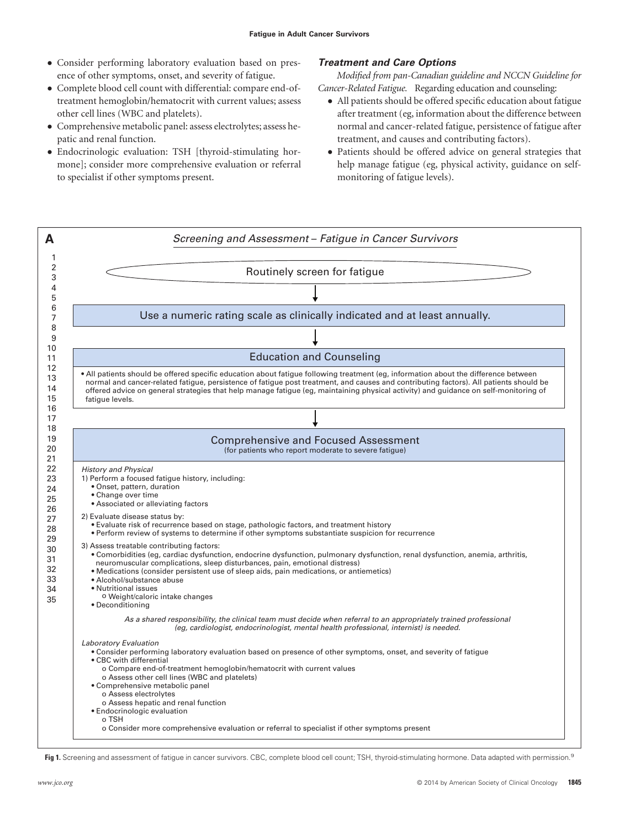- Consider performing laboratory evaluation based on presence of other symptoms, onset, and severity of fatigue.
- Complete blood cell count with differential: compare end-oftreatment hemoglobin/hematocrit with current values; assess other cell lines (WBC and platelets).
- Comprehensive metabolic panel: assess electrolytes; assess hepatic and renal function.
- Endocrinologic evaluation: TSH [thyroid-stimulating hormone]; consider more comprehensive evaluation or referral to specialist if other symptoms present.

### *Treatment and Care Options*

*Modified from pan-Canadian guideline and NCCN Guideline for Cancer-Related Fatigue.* Regarding education and counseling:

- All patients should be offered specific education about fatigue after treatment (eg, information about the difference between normal and cancer-related fatigue, persistence of fatigue after treatment, and causes and contributing factors).
- Patients should be offered advice on general strategies that help manage fatigue (eg, physical activity, guidance on selfmonitoring of fatigue levels).



**Fig 1.** Screening and assessment of fatigue in cancer survivors. CBC, complete blood cell count; TSH, thyroid-stimulating hormone. Data adapted with permission.<sup>9</sup>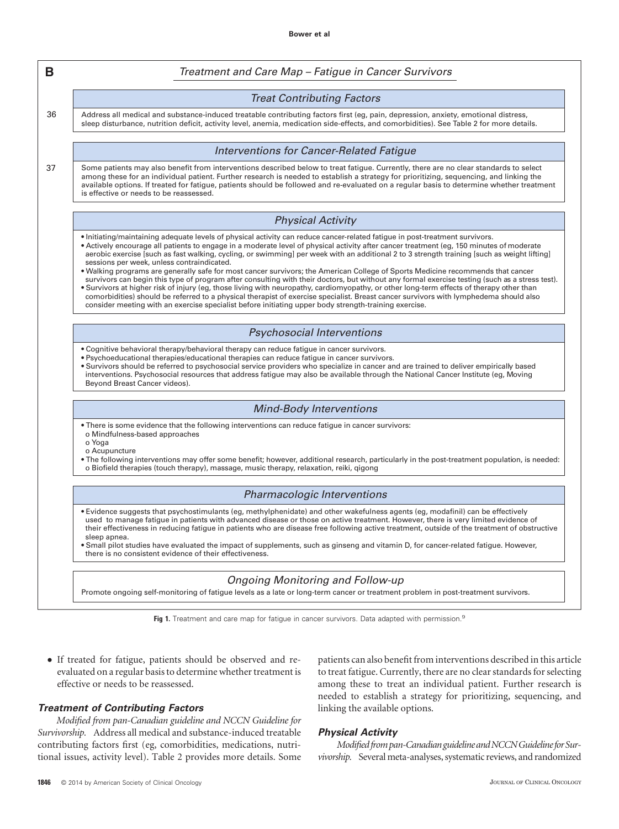

**Fig 1.** Treatment and care map for fatigue in cancer survivors. Data adapted with permission.<sup>9</sup>

• If treated for fatigue, patients should be observed and reevaluated on a regular basis to determine whether treatment is effective or needs to be reassessed.

## *Treatment of Contributing Factors*

*Modified from pan-Canadian guideline and NCCN Guideline for Survivorship.* Address all medical and substance-induced treatable contributing factors first (eg, comorbidities, medications, nutritional issues, activity level). Table 2 provides more details. Some

# to treat fatigue. Currently, there are no clear standards for selecting among these to treat an individual patient. Further research is needed to establish a strategy for prioritizing, sequencing, and linking the available options.

patients can also benefit from interventions described in this article

## *Physical Activity*

*Modifiedfrompan-CanadianguidelineandNCCNGuidelineforSurvivorship.* Several meta-analyses, systematic reviews, and randomized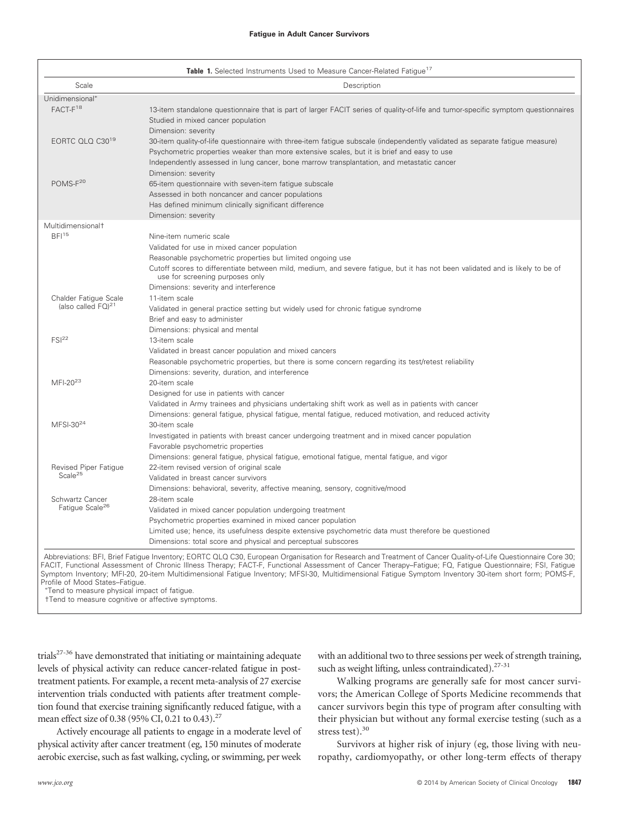| Scale                                            | Description                                                                                                                                                                                                                                                                                                                                    |
|--------------------------------------------------|------------------------------------------------------------------------------------------------------------------------------------------------------------------------------------------------------------------------------------------------------------------------------------------------------------------------------------------------|
| Unidimensional*                                  |                                                                                                                                                                                                                                                                                                                                                |
| $FACT-F18$                                       | 13-item standalone questionnaire that is part of larger FACIT series of quality-of-life and tumor-specific symptom questionnaires<br>Studied in mixed cancer population<br>Dimension: severity                                                                                                                                                 |
| EORTC QLQ C30 <sup>19</sup>                      | 30-item quality-of-life questionnaire with three-item fatigue subscale (independently validated as separate fatigue measure)<br>Psychometric properties weaker than more extensive scales, but it is brief and easy to use<br>Independently assessed in lung cancer, bone marrow transplantation, and metastatic cancer<br>Dimension: severity |
| POMS-F <sup>20</sup>                             | 65-item questionnaire with seven-item fatigue subscale<br>Assessed in both noncancer and cancer populations<br>Has defined minimum clinically significant difference<br>Dimension: severity                                                                                                                                                    |
| Multidimensional <sup>+</sup>                    |                                                                                                                                                                                                                                                                                                                                                |
| BF <sup>15</sup>                                 | Nine-item numeric scale<br>Validated for use in mixed cancer population<br>Reasonable psychometric properties but limited ongoing use                                                                                                                                                                                                          |
|                                                  | Cutoff scores to differentiate between mild, medium, and severe fatigue, but it has not been validated and is likely to be of<br>use for screening purposes only<br>Dimensions: severity and interference                                                                                                                                      |
| Chalder Fatigue Scale<br>(also called $FO)^{21}$ | 11-item scale<br>Validated in general practice setting but widely used for chronic fatigue syndrome<br>Brief and easy to administer<br>Dimensions: physical and mental                                                                                                                                                                         |
| FSI <sup>22</sup>                                | 13-item scale<br>Validated in breast cancer population and mixed cancers<br>Reasonable psychometric properties, but there is some concern regarding its test/retest reliability<br>Dimensions: severity, duration, and interference                                                                                                            |
| $MFI-20^{23}$                                    | 20-item scale<br>Designed for use in patients with cancer<br>Validated in Army trainees and physicians undertaking shift work as well as in patients with cancer<br>Dimensions: general fatigue, physical fatigue, mental fatigue, reduced motivation, and reduced activity                                                                    |
| $MFSI-3024$                                      | 30-item scale<br>Investigated in patients with breast cancer undergoing treatment and in mixed cancer population<br>Favorable psychometric properties<br>Dimensions: general fatigue, physical fatigue, emotional fatigue, mental fatigue, and vigor                                                                                           |
| Revised Piper Fatigue<br>Scale <sup>25</sup>     | 22-item revised version of original scale<br>Validated in breast cancer survivors<br>Dimensions: behavioral, severity, affective meaning, sensory, cognitive/mood                                                                                                                                                                              |
| Schwartz Cancer<br>Fatigue Scale <sup>26</sup>   | 28-item scale<br>Validated in mixed cancer population undergoing treatment<br>Psychometric properties examined in mixed cancer population<br>Limited use; hence, its usefulness despite extensive psychometric data must therefore be questioned<br>Dimensions: total score and physical and perceptual subscores                              |

Abbreviations: BFI, Brief Fatigue Inventory; EORTC QLQ C30, European Organisation for Research and Treatment of Cancer Quality-of-Life Questionnaire Core 30; FACIT, Functional Assessment of Chronic Illness Therapy; FACT-F, Functional Assessment of Cancer Therapy–Fatigue; FQ, Fatigue Questionnaire; FSI, Fatigue Symptom Inventory; MFI-20, 20-item Multidimensional Fatigue Inventory; MFSI-30, Multidimensional Fatigue Symptom Inventory 30-item short form; POMS-F, Profile of Mood States–Fatigue.

- Tend to measure physical impact of fatigue.

†Tend to measure cognitive or affective symptoms.

trials $27-36$  have demonstrated that initiating or maintaining adequate levels of physical activity can reduce cancer-related fatigue in posttreatment patients. For example, a recent meta-analysis of 27 exercise intervention trials conducted with patients after treatment completion found that exercise training significantly reduced fatigue, with a mean effect size of 0.38 (95% CI, 0.21 to 0.43).<sup>27</sup>

Actively encourage all patients to engage in a moderate level of physical activity after cancer treatment (eg, 150 minutes of moderate aerobic exercise, such as fast walking, cycling, or swimming, per week

with an additional two to three sessions per week of strength training, such as weight lifting, unless contraindicated).<sup>27-31</sup>

Walking programs are generally safe for most cancer survivors; the American College of Sports Medicine recommends that cancer survivors begin this type of program after consulting with their physician but without any formal exercise testing (such as a stress test).<sup>30</sup>

Survivors at higher risk of injury (eg, those living with neuropathy, cardiomyopathy, or other long-term effects of therapy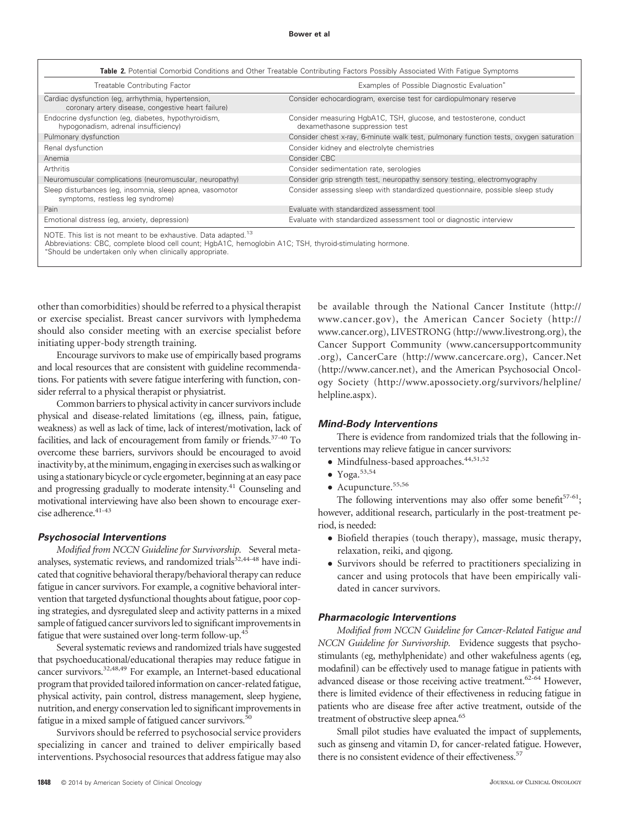| Treatable Contributing Factor                                                                            | Examples of Possible Diagnostic Evaluation*                                                          |
|----------------------------------------------------------------------------------------------------------|------------------------------------------------------------------------------------------------------|
| Cardiac dysfunction (eg, arrhythmia, hypertension,<br>coronary artery disease, congestive heart failure) | Consider echocardiogram, exercise test for cardiopulmonary reserve                                   |
| Endocrine dysfunction (eg, diabetes, hypothyroidism,<br>hypogonadism, adrenal insufficiency)             | Consider measuring HgbA1C, TSH, glucose, and testosterone, conduct<br>dexamethasone suppression test |
| Pulmonary dysfunction                                                                                    | Consider chest x-ray, 6-minute walk test, pulmonary function tests, oxygen saturation                |
| Renal dysfunction                                                                                        | Consider kidney and electrolyte chemistries                                                          |
| Anemia                                                                                                   | Consider CBC                                                                                         |
| Arthritis                                                                                                | Consider sedimentation rate, serologies                                                              |
| Neuromuscular complications (neuromuscular, neuropathy)                                                  | Consider grip strength test, neuropathy sensory testing, electromyography                            |
| Sleep disturbances (eq. insomnia, sleep apnea, vasomotor<br>symptoms, restless leg syndrome)             | Consider assessing sleep with standardized questionnaire, possible sleep study                       |
| Pain                                                                                                     | Evaluate with standardized assessment tool                                                           |
| Emotional distress (eg, anxiety, depression)                                                             | Evaluate with standardized assessment tool or diagnostic interview                                   |

- Should be undertaken only when clinically appropriate.

other than comorbidities) should be referred to a physical therapist or exercise specialist. Breast cancer survivors with lymphedema should also consider meeting with an exercise specialist before initiating upper-body strength training.

Encourage survivors to make use of empirically based programs and local resources that are consistent with guideline recommendations. For patients with severe fatigue interfering with function, consider referral to a physical therapist or physiatrist.

Common barriers to physical activity in cancer survivors include physical and disease-related limitations (eg, illness, pain, fatigue, weakness) as well as lack of time, lack of interest/motivation, lack of facilities, and lack of encouragement from family or friends.37-40 To overcome these barriers, survivors should be encouraged to avoid inactivity by, at the minimum, engaging in exercises such as walking or using a stationary bicycle or cycle ergometer, beginning at an easy pace and progressing gradually to moderate intensity.<sup>41</sup> Counseling and motivational interviewing have also been shown to encourage exercise adherence.<sup>41-43</sup>

#### *Psychosocial Interventions*

*Modified from NCCN Guideline for Survivorship.* Several metaanalyses, systematic reviews, and randomized trials<sup>32,44-48</sup> have indicated that cognitive behavioral therapy/behavioral therapy can reduce fatigue in cancer survivors. For example, a cognitive behavioral intervention that targeted dysfunctional thoughts about fatigue, poor coping strategies, and dysregulated sleep and activity patterns in a mixed sample of fatigued cancer survivors led to significant improvements in fatigue that were sustained over long-term follow-up.45

Several systematic reviews and randomized trials have suggested that psychoeducational/educational therapies may reduce fatigue in cancer survivors.32,48,49 For example, an Internet-based educational program that provided tailored information on cancer-related fatigue, physical activity, pain control, distress management, sleep hygiene, nutrition, and energy conservation led to significant improvements in fatigue in a mixed sample of fatigued cancer survivors.<sup>50</sup>

Survivors should be referred to psychosocial service providers specializing in cancer and trained to deliver empirically based interventions. Psychosocial resources that address fatigue may also be available through the National Cancer Institute [\(http://](http://www.cancer.gov) [www.cancer.gov\)](http://www.cancer.gov), the American Cancer Society [\(http://](http://www.cancer.org) [www.cancer.org\)](http://www.cancer.org), LIVESTRONG [\(http://www.livestrong.org\)](http://www.livestrong.org), the Cancer Support Community [\(www.cancersupportcommunity](http://www.cancersupportcommunity.org) [.org\)](http://www.cancersupportcommunity.org), CancerCare [\(http://www.cancercare.org\)](http://www.cancercare.org), Cancer.Net [\(http://www.cancer.net\)](http://www.cancer.net), and the American Psychosocial Oncology Society [\(http://www.apossociety.org/survivors/helpline/](http://www.apossociety.org/survivors/helpline/helpline.aspx) [helpline.aspx\)](http://www.apossociety.org/survivors/helpline/helpline.aspx).

### *Mind-Body Interventions*

There is evidence from randomized trials that the following interventions may relieve fatigue in cancer survivors:

- Mindfulness-based approaches. $44,51,52$
- $\bullet$  Yoga.<sup>53,54</sup>
- Acupuncture.<sup>55,56</sup>

The following interventions may also offer some benefit<sup>57-61</sup>; however, additional research, particularly in the post-treatment period, is needed:

- Biofield therapies (touch therapy), massage, music therapy, relaxation, reiki, and qigong.
- Survivors should be referred to practitioners specializing in cancer and using protocols that have been empirically validated in cancer survivors.

### *Pharmacologic Interventions*

*Modified from NCCN Guideline for Cancer-Related Fatigue and NCCN Guideline for Survivorship.* Evidence suggests that psychostimulants (eg, methylphenidate) and other wakefulness agents (eg, modafinil) can be effectively used to manage fatigue in patients with advanced disease or those receiving active treatment.<sup>62-64</sup> However, there is limited evidence of their effectiveness in reducing fatigue in patients who are disease free after active treatment, outside of the treatment of obstructive sleep apnea.<sup>65</sup>

Small pilot studies have evaluated the impact of supplements, such as ginseng and vitamin D, for cancer-related fatigue. However, there is no consistent evidence of their effectiveness.<sup>57</sup>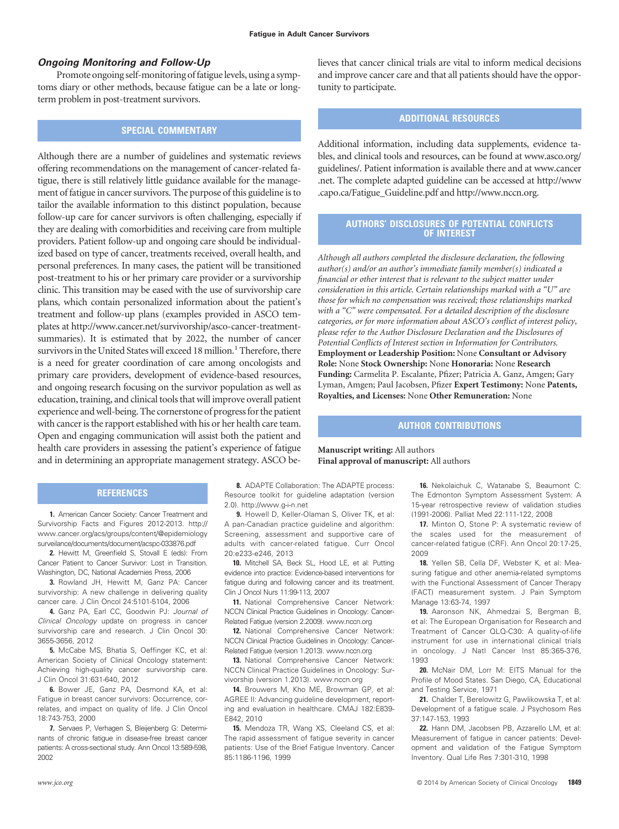### *Ongoing Monitoring and Follow-Up*

Promote ongoing self-monitoring of fatigue levels, using a symptoms diary or other methods, because fatigue can be a late or longterm problem in post-treatment survivors.

# **SPECIAL COMMENTARY**

Although there are a number of guidelines and systematic reviews offering recommendations on the management of cancer-related fatigue, there is still relatively little guidance available for the management of fatigue in cancer survivors. The purpose of this guideline is to tailor the available information to this distinct population, because follow-up care for cancer survivors is often challenging, especially if they are dealing with comorbidities and receiving care from multiple providers. Patient follow-up and ongoing care should be individualized based on type of cancer, treatments received, overall health, and personal preferences. In many cases, the patient will be transitioned post-treatment to his or her primary care provider or a survivorship clinic. This transition may be eased with the use of survivorship care plans, which contain personalized information about the patient's treatment and follow-up plans (examples provided in ASCO templates at [http://www.cancer.net/survivorship/asco-cancer-treatment](http://www.cancer.net/survivorship/asco-cancer-treatment-summaries)[summaries\)](http://www.cancer.net/survivorship/asco-cancer-treatment-summaries). It is estimated that by 2022, the number of cancer survivors in the United States will exceed 18 million.<sup>1</sup> Therefore, there is a need for greater coordination of care among oncologists and primary care providers, development of evidence-based resources, and ongoing research focusing on the survivor population as well as education, training, and clinical tools that will improve overall patient experience and well-being. The cornerstone of progress for the patient with cancer is the rapport established with his or her health care team. Open and engaging communication will assist both the patient and health care providers in assessing the patient's experience of fatigue and in determining an appropriate management strategy. ASCO believes that cancer clinical trials are vital to inform medical decisions and improve cancer care and that all patients should have the opportunity to participate.

# **ADDITIONAL RESOURCES**

Additional information, including data supplements, evidence tables, and clinical tools and resources, can be found at [www.asco.org/](http://www.asco.org/guidelines/) [guidelines/.](http://www.asco.org/guidelines/) Patient information is available there and at [www.cancer](http://www.cancer.net) [.net.](http://www.cancer.net) The complete adapted guideline can be accessed at [http://www](http://www.capo.ca/Fatigue_Guideline.pdf) [.capo.ca/Fatigue\\_Guideline.pdf](http://www.capo.ca/Fatigue_Guideline.pdf) and [http://www.nccn.org.](http://www.nccn.org)

# **AUTHORS' DISCLOSURES OF POTENTIAL CONFLICTS OF INTEREST**

*Although all authors completed the disclosure declaration, the following author(s) and/or an author's immediate family member(s) indicated a financial or other interest that is relevant to the subject matter under consideration in this article. Certain relationships marked with a "U" are those for which no compensation was received; those relationships marked with a "C" were compensated. For a detailed description of the disclosure categories, or for more information about ASCO's conflict of interest policy, please refer to the Author Disclosure Declaration and the Disclosures of Potential Conflicts of Interest section in Information for Contributors.* **Employment or Leadership Position:** None **Consultant or Advisory Role:** None **Stock Ownership:** None **Honoraria:** None **Research Funding:** Carmelita P. Escalante, Pfizer; Patricia A. Ganz, Amgen; Gary Lyman, Amgen; Paul Jacobsen, Pfizer **Expert Testimony:** None **Patents, Royalties, and Licenses:** None **Other Remuneration:** None

### **AUTHOR CONTRIBUTIONS**

# **Manuscript writing:** All authors **Final approval of manuscript:** All authors

#### **REFERENCES**

**1.** American Cancer Society: Cancer Treatment and Survivorship Facts and Figures 2012-2013. [http://](http://www.cancer.org/acs/groups/content/@epidemiologysurveilance/documents/document/acspc-033876.pdf) [www.cancer.org/acs/groups/content/@epidemiology](http://www.cancer.org/acs/groups/content/@epidemiologysurveilance/documents/document/acspc-033876.pdf) [surveilance/documents/document/acspc-033876.pdf](http://www.cancer.org/acs/groups/content/@epidemiologysurveilance/documents/document/acspc-033876.pdf)

**2.** Hewitt M, Greenfield S, Stovall E (eds): From Cancer Patient to Cancer Survivor: Lost in Transition. Washington, DC, National Academies Press, 2006

**3.** Rowland JH, Hewitt M, Ganz PA: Cancer survivorship: A new challenge in delivering quality cancer care. J Clin Oncol 24:5101-5104, 2006

**4.** Ganz PA, Earl CC, Goodwin PJ: *Journal of Clinical Oncology* update on progress in cancer survivorship care and research. J Clin Oncol 30: 3655-3656, 2012

**5.** McCabe MS, Bhatia S, Oeffinger KC, et al: American Society of Clinical Oncology statement: Achieving high-quality cancer survivorship care. J Clin Oncol 31:631-640, 2012

**6.** Bower JE, Ganz PA, Desmond KA, et al: Fatigue in breast cancer survivors: Occurrence, correlates, and impact on quality of life. J Clin Oncol 18:743-753, 2000

**7.** Servaes P, Verhagen S, Bleijenberg G: Determinants of chronic fatigue in disease-free breast cancer patients: A cross-sectional study. Ann Oncol 13:589-598, 2002

**8.** ADAPTE Collaboration: The ADAPTE process: Resource toolkit for guideline adaptation (version 2.0).<http://www.g-i-n.net>

**9.** Howell D, Keller-Olaman S, Oliver TK, et al: A pan-Canadian practice guideline and algorithm: Screening, assessment and supportive care of adults with cancer-related fatigue. Curr Oncol 20:e233-e246, 2013

**10.** Mitchell SA, Beck SL, Hood LE, et al: Putting evidence into practice: Evidence-based interventions for fatigue during and following cancer and its treatment. Clin J Oncol Nurs 11:99-113, 2007

**11.** National Comprehensive Cancer Network: NCCN Clinical Practice Guidelines in Oncology: Cancer-Related Fatigue (version 2.2009). [www.nccn.org](http://www.nccn.org)

**12.** National Comprehensive Cancer Network: NCCN Clinical Practice Guidelines in Oncology: Cancer-Related Fatigue (version 1.2013). [www.nccn.org](http://www.nccn.org)

13. National Comprehensive Cancer Network: NCCN Clinical Practice Guidelines in Oncology: Survivorship (version 1.2013). [www.nccn.org](http://www.nccn.org)

**14.** Brouwers M, Kho ME, Browman GP, et al: AGREE II: Advancing guideline development, reporting and evaluation in healthcare. CMAJ 182:E839- E842, 2010

**15.** Mendoza TR, Wang XS, Cleeland CS, et al: The rapid assessment of fatigue severity in cancer patients: Use of the Brief Fatigue Inventory. Cancer 85:1186-1196, 1999

**16.** Nekolaichuk C, Watanabe S, Beaumont C: The Edmonton Symptom Assessment System: A 15-year retrospective review of validation studies (1991-2006). Palliat Med 22:111-122, 2008

**17.** Minton O, Stone P: A systematic review of the scales used for the measurement of cancer-related fatigue (CRF). Ann Oncol 20:17-25, 2009

**18.** Yellen SB, Cella DF, Webster K, et al: Measuring fatigue and other anemia-related symptoms with the Functional Assessment of Cancer Therapy (FACT) measurement system. J Pain Symptom Manage 13:63-74, 1997

**19.** Aaronson NK, Ahmedzai S, Bergman B, et al: The European Organisation for Research and Treatment of Cancer QLQ-C30: A quality-of-life instrument for use in international clinical trials in oncology. J Natl Cancer Inst 85:365-376, 1993

**20.** McNair DM, Lorr M: EITS Manual for the Profile of Mood States. San Diego, CA, Educational and Testing Service, 1971

**21.** Chalder T, Berelowitz G, Pawlikowska T, et al: Development of a fatigue scale. J Psychosom Res 37:147-153, 1993

**22.** Hann DM, Jacobsen PB, Azzarello LM, et al: Measurement of fatigue in cancer patients: Development and validation of the Fatigue Symptom Inventory. Qual Life Res 7:301-310, 1998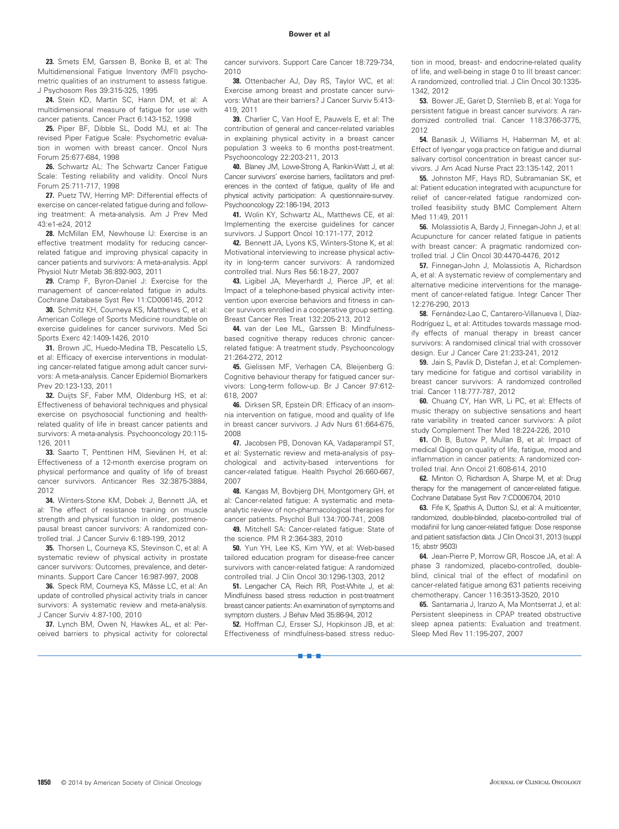**23.** Smets EM, Garssen B, Bonke B, et al: The Multidimensional Fatigue Inventory (MFI) psychometric qualities of an instrument to assess fatigue. J Psychosom Res 39:315-325, 1995

**24.** Stein KD, Martin SC, Hann DM, et al: A multidimensional measure of fatigue for use with cancer patients. Cancer Pract 6:143-152, 1998

**25.** Piper BF, Dibble SL, Dodd MJ, et al: The revised Piper Fatigue Scale: Psychometric evaluation in women with breast cancer. Oncol Nurs Forum 25:677-684, 1998

**26.** Schwartz AL: The Schwartz Cancer Fatigue Scale: Testing reliability and validity. Oncol Nurs Forum 25:711-717, 1998

**27.** Puetz TW, Herring MP: Differential effects of exercise on cancer-related fatigue during and following treatment: A meta-analysis. Am J Prev Med 43:e1-e24, 2012

**28.** McMillan EM, Newhouse IJ: Exercise is an effective treatment modality for reducing cancerrelated fatigue and improving physical capacity in cancer patients and survivors: A meta-analysis. Appl Physiol Nutr Metab 36:892-903, 2011

**29.** Cramp F, Byron-Daniel J: Exercise for the management of cancer-related fatigue in adults. Cochrane Database Syst Rev 11:CD006145, 2012

**30.** Schmitz KH, Courneya KS, Matthews C, et al: American College of Sports Medicine roundtable on exercise guidelines for cancer survivors. Med Sci Sports Exerc 42:1409-1426, 2010

**31.** Brown JC, Huedo-Medina TB, Pescatello LS, et al: Efficacy of exercise interventions in modulating cancer-related fatigue among adult cancer survivors: A meta-analysis. Cancer Epidemiol Biomarkers Prev 20:123-133, 2011

**32.** Duijts SF, Faber MM, Oldenburg HS, et al: Effectiveness of behavioral techniques and physical exercise on psychosocial functioning and healthrelated quality of life in breast cancer patients and survivors: A meta-analysis. Psychooncology 20:115- 126, 2011

33. Saarto T, Penttinen HM, Sievänen H, et al: Effectiveness of a 12-month exercise program on physical performance and quality of life of breast cancer survivors. Anticancer Res 32:3875-3884, 2012

**34.** Winters-Stone KM, Dobek J, Bennett JA, et al: The effect of resistance training on muscle strength and physical function in older, postmenopausal breast cancer survivors: A randomized controlled trial. J Cancer Surviv 6:189-199, 2012

**35.** Thorsen L, Courneya KS, Stevinson C, et al: A systematic review of physical activity in prostate cancer survivors: Outcomes, prevalence, and determinants. Support Care Cancer 16:987-997, 2008

36. Speck RM, Courneya KS, Mâsse LC, et al: An update of controlled physical activity trials in cancer survivors: A systematic review and meta-analysis. J Cancer Surviv 4:87-100, 2010

**37.** Lynch BM, Owen N, Hawkes AL, et al: Perceived barriers to physical activity for colorectal

cancer survivors. Support Care Cancer 18:729-734, 2010

**38.** Ottenbacher AJ, Day RS, Taylor WC, et al: Exercise among breast and prostate cancer survivors: What are their barriers? J Cancer Surviv 5:413- 419, 2011

**39.** Charlier C, Van Hoof E, Pauwels E, et al: The contribution of general and cancer-related variables in explaining physical activity in a breast cancer population 3 weeks to 6 months post-treatment. Psychooncology 22:203-211, 2013

**40.** Blaney JM, Lowe-Strong A, Rankin-Watt J, et al: Cancer survivors' exercise barriers, facilitators and preferences in the context of fatigue, quality of life and physical activity participation: A questionnaire-survey. Psychooncology 22:186-194, 2013

**41.** Wolin KY, Schwartz AL, Matthews CE, et al: Implementing the exercise guidelines for cancer survivors. J Support Oncol 10:171-177, 2012

**42.** Bennett JA, Lyons KS, Winters-Stone K, et al: Motivational interviewing to increase physical activity in long-term cancer survivors: A randomized controlled trial. Nurs Res 56:18-27, 2007

**43.** Ligibel JA, Meyerhardt J, Pierce JP, et al: Impact of a telephone-based physical activity intervention upon exercise behaviors and fitness in cancer survivors enrolled in a cooperative group setting. Breast Cancer Res Treat 132:205-213, 2012

**44.** van der Lee ML, Garssen B: Mindfulnessbased cognitive therapy reduces chronic cancerrelated fatigue: A treatment study. Psychooncology 21:264-272, 2012

**45.** Gielissen MF, Verhagen CA, Bleijenberg G: Cognitive behaviour therapy for fatigued cancer survivors: Long-term follow-up. Br J Cancer 97:612- 618, 2007

**46.** Dirksen SR, Epstein DR: Efficacy of an insomnia intervention on fatigue, mood and quality of life in breast cancer survivors. J Adv Nurs 61:664-675, 2008

**47.** Jacobsen PB, Donovan KA, Vadaparampil ST, et al: Systematic review and meta-analysis of psychological and activity-based interventions for cancer-related fatigue. Health Psychol 26:660-667, 2007

**48.** Kangas M, Bovbjerg DH, Montgomery GH, et al: Cancer-related fatigue: A systematic and metaanalytic review of non-pharmacological therapies for cancer patients. Psychol Bull 134:700-741, 2008

**49.** Mitchell SA: Cancer-related fatigue: State of the science. PM R 2:364-383, 2010

**50.** Yun YH, Lee KS, Kim YW, et al: Web-based tailored education program for disease-free cancer survivors with cancer-related fatigue: A randomized controlled trial. J Clin Oncol 30:1296-1303, 2012

**51.** Lengacher CA, Reich RR, Post-White J, et al: Mindfulness based stress reduction in post-treatment breast cancer patients: An examination of symptoms and symptom clusters. J Behav Med 35:86-94, 2012

**52.** Hoffman CJ, Ersser SJ, Hopkinson JB, et al: Effectiveness of mindfulness-based stress reduc-

■■■

tion in mood, breast- and endocrine-related quality of life, and well-being in stage 0 to III breast cancer: A randomized, controlled trial. J Clin Oncol 30:1335- 1342, 2012

**53.** Bower JE, Garet D, Sternlieb B, et al: Yoga for persistent fatigue in breast cancer survivors: A randomized controlled trial. Cancer 118:3766-3775, 2012

**54.** Banasik J, Williams H, Haberman M, et al: Effect of Iyengar yoga practice on fatigue and diurnal salivary cortisol concentration in breast cancer survivors. J Am Acad Nurse Pract 23:135-142, 2011

**55.** Johnston MF, Hays RD, Subramanian SK, et al: Patient education integrated with acupuncture for relief of cancer-related fatigue randomized controlled feasibility study BMC Complement Altern Med 11:49, 2011

**56.** Molassiotis A, Bardy J, Finnegan-John J, et al: Acupuncture for cancer related fatigue in patients with breast cancer: A pragmatic randomized controlled trial. J Clin Oncol 30:4470-4476, 2012

**57.** Finnegan-John J, Molassiotis A, Richardson A, et al: A systematic review of complementary and alternative medicine interventions for the management of cancer-related fatigue. Integr Cancer Ther 12:276-290, 2013

58. Fernández-Lao C, Cantarero-Villanueva I, Díaz-Rodríguez L, et al: Attitudes towards massage modify effects of manual therapy in breast cancer survivors: A randomised clinical trial with crossover design. Eur J Cancer Care 21:233-241, 2012

**59.** Jain S, Pavlik D, Distefan J, et al: Complementary medicine for fatigue and cortisol variability in breast cancer survivors: A randomized controlled trial. Cancer 118:777-787, 2012

**60.** Chuang CY, Han WR, Li PC, et al: Effects of music therapy on subjective sensations and heart rate variability in treated cancer survivors: A pilot study Complement Ther Med 18:224-226, 2010

**61.** Oh B, Butow P, Mullan B, et al: Impact of medical Qigong on quality of life, fatigue, mood and inflammation in cancer patients: A randomized controlled trial. Ann Oncol 21:608-614, 2010

**62.** Minton O, Richardson A, Sharpe M, et al: Drug therapy for the management of cancer-related fatigue. Cochrane Database Syst Rev 7:CD006704, 2010

**63.** Fife K, Spathis A, Dutton SJ, et al: A multicenter, randomized, double-blinded, placebo-controlled trial of modafinil for lung cancer-related fatigue: Dose response and patient satisfaction data. J Clin Oncol 31, 2013 (suppl 15; abstr 9503)

**64.** Jean-Pierre P, Morrow GR, Roscoe JA, et al: A phase 3 randomized, placebo-controlled, doubleblind, clinical trial of the effect of modafinil on cancer-related fatigue among 631 patients receiving chemotherapy. Cancer 116:3513-3520, 2010

**65.** Santamaria J, Iranzo A, Ma Montserrat J, et al: Persistent sleepiness in CPAP treated obstructive sleep apnea patients: Evaluation and treatment. Sleep Med Rev 11:195-207, 2007